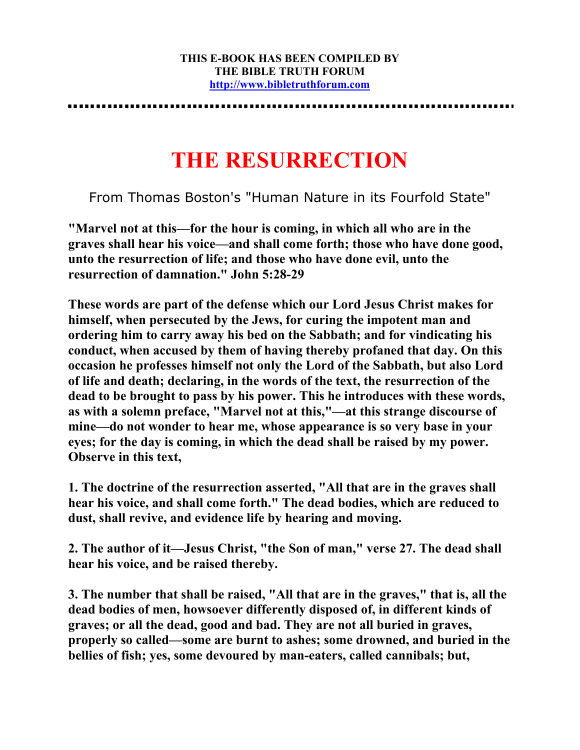## **THE RESURRECTION**

From Thomas Boston's "Human Nature in its Fourfold State"

**"Marvel not at this—for the hour is coming, in which all who are in the graves shall hear his voice—and shall come forth; those who have done good, unto the resurrection of life; and those who have done evil, unto the resurrection of damnation." John 5:28-29** 

**These words are part of the defense which our Lord Jesus Christ makes for himself, when persecuted by the Jews, for curing the impotent man and ordering him to carry away his bed on the Sabbath; and for vindicating his conduct, when accused by them of having thereby profaned that day. On this occasion he professes himself not only the Lord of the Sabbath, but also Lord of life and death; declaring, in the words of the text, the resurrection of the dead to be brought to pass by his power. This he introduces with these words, as with a solemn preface, "Marvel not at this,"—at this strange discourse of mine—do not wonder to hear me, whose appearance is so very base in your eyes; for the day is coming, in which the dead shall be raised by my power. Observe in this text,** 

**1. The doctrine of the resurrection asserted, "All that are in the graves shall hear his voice, and shall come forth." The dead bodies, which are reduced to dust, shall revive, and evidence life by hearing and moving.** 

**2. The author of it—Jesus Christ, "the Son of man," verse 27. The dead shall hear his voice, and be raised thereby.** 

**3. The number that shall be raised, "All that are in the graves," that is, all the dead bodies of men, howsoever differently disposed of, in different kinds of graves; or all the dead, good and bad. They are not all buried in graves, properly so called—some are burnt to ashes; some drowned, and buried in the bellies of fish; yes, some devoured by man-eaters, called cannibals; but,**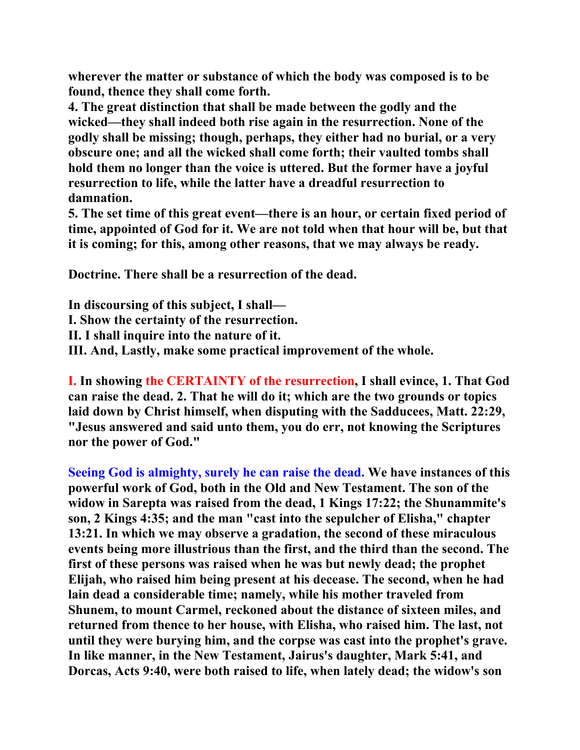**wherever the matter or substance of which the body was composed is to be found, thence they shall come forth.** 

**4. The great distinction that shall be made between the godly and the wicked—they shall indeed both rise again in the resurrection. None of the godly shall be missing; though, perhaps, they either had no burial, or a very obscure one; and all the wicked shall come forth; their vaulted tombs shall hold them no longer than the voice is uttered. But the former have a joyful resurrection to life, while the latter have a dreadful resurrection to damnation.** 

**5. The set time of this great event—there is an hour, or certain fixed period of time, appointed of God for it. We are not told when that hour will be, but that it is coming; for this, among other reasons, that we may always be ready.** 

**Doctrine. There shall be a resurrection of the dead.** 

**In discoursing of this subject, I shall— I. Show the certainty of the resurrection. II. I shall inquire into the nature of it. III. And, Lastly, make some practical improvement of the whole.** 

**I. In showing the CERTAINTY of the resurrection, I shall evince, 1. That God can raise the dead. 2. That he will do it; which are the two grounds or topics laid down by Christ himself, when disputing with the Sadducees, Matt. 22:29, "Jesus answered and said unto them, you do err, not knowing the Scriptures nor the power of God."** 

**Seeing God is almighty, surely he can raise the dead. We have instances of this powerful work of God, both in the Old and New Testament. The son of the widow in Sarepta was raised from the dead, 1 Kings 17:22; the Shunammite's son, 2 Kings 4:35; and the man "cast into the sepulcher of Elisha," chapter 13:21. In which we may observe a gradation, the second of these miraculous events being more illustrious than the first, and the third than the second. The first of these persons was raised when he was but newly dead; the prophet Elijah, who raised him being present at his decease. The second, when he had lain dead a considerable time; namely, while his mother traveled from Shunem, to mount Carmel, reckoned about the distance of sixteen miles, and returned from thence to her house, with Elisha, who raised him. The last, not until they were burying him, and the corpse was cast into the prophet's grave. In like manner, in the New Testament, Jairus's daughter, Mark 5:41, and Dorcas, Acts 9:40, were both raised to life, when lately dead; the widow's son**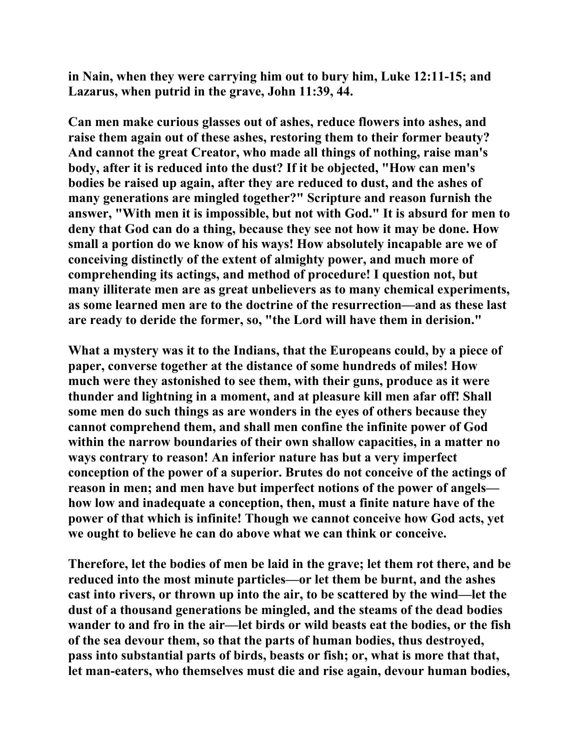**in Nain, when they were carrying him out to bury him, Luke 12:11-15; and Lazarus, when putrid in the grave, John 11:39, 44.** 

**Can men make curious glasses out of ashes, reduce flowers into ashes, and raise them again out of these ashes, restoring them to their former beauty? And cannot the great Creator, who made all things of nothing, raise man's body, after it is reduced into the dust? If it be objected, "How can men's bodies be raised up again, after they are reduced to dust, and the ashes of many generations are mingled together?" Scripture and reason furnish the answer, "With men it is impossible, but not with God." It is absurd for men to deny that God can do a thing, because they see not how it may be done. How small a portion do we know of his ways! How absolutely incapable are we of conceiving distinctly of the extent of almighty power, and much more of comprehending its actings, and method of procedure! I question not, but many illiterate men are as great unbelievers as to many chemical experiments, as some learned men are to the doctrine of the resurrection—and as these last are ready to deride the former, so, "the Lord will have them in derision."** 

**What a mystery was it to the Indians, that the Europeans could, by a piece of paper, converse together at the distance of some hundreds of miles! How much were they astonished to see them, with their guns, produce as it were thunder and lightning in a moment, and at pleasure kill men afar off! Shall some men do such things as are wonders in the eyes of others because they cannot comprehend them, and shall men confine the infinite power of God within the narrow boundaries of their own shallow capacities, in a matter no ways contrary to reason! An inferior nature has but a very imperfect conception of the power of a superior. Brutes do not conceive of the actings of reason in men; and men have but imperfect notions of the power of angels how low and inadequate a conception, then, must a finite nature have of the power of that which is infinite! Though we cannot conceive how God acts, yet we ought to believe he can do above what we can think or conceive.** 

**Therefore, let the bodies of men be laid in the grave; let them rot there, and be reduced into the most minute particles—or let them be burnt, and the ashes cast into rivers, or thrown up into the air, to be scattered by the wind—let the dust of a thousand generations be mingled, and the steams of the dead bodies wander to and fro in the air—let birds or wild beasts eat the bodies, or the fish of the sea devour them, so that the parts of human bodies, thus destroyed, pass into substantial parts of birds, beasts or fish; or, what is more that that, let man-eaters, who themselves must die and rise again, devour human bodies,**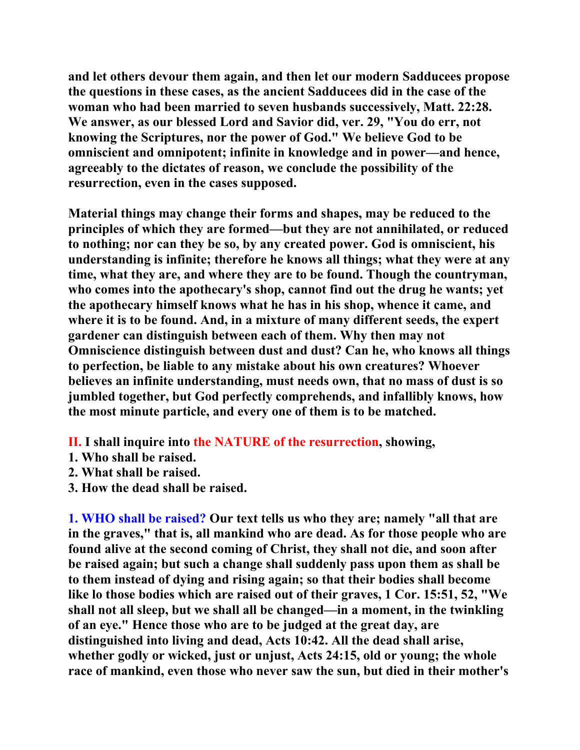**and let others devour them again, and then let our modern Sadducees propose the questions in these cases, as the ancient Sadducees did in the case of the woman who had been married to seven husbands successively, Matt. 22:28. We answer, as our blessed Lord and Savior did, ver. 29, "You do err, not knowing the Scriptures, nor the power of God." We believe God to be omniscient and omnipotent; infinite in knowledge and in power—and hence, agreeably to the dictates of reason, we conclude the possibility of the resurrection, even in the cases supposed.** 

**Material things may change their forms and shapes, may be reduced to the principles of which they are formed—but they are not annihilated, or reduced to nothing; nor can they be so, by any created power. God is omniscient, his understanding is infinite; therefore he knows all things; what they were at any time, what they are, and where they are to be found. Though the countryman, who comes into the apothecary's shop, cannot find out the drug he wants; yet the apothecary himself knows what he has in his shop, whence it came, and where it is to be found. And, in a mixture of many different seeds, the expert gardener can distinguish between each of them. Why then may not Omniscience distinguish between dust and dust? Can he, who knows all things to perfection, be liable to any mistake about his own creatures? Whoever believes an infinite understanding, must needs own, that no mass of dust is so jumbled together, but God perfectly comprehends, and infallibly knows, how the most minute particle, and every one of them is to be matched.** 

**II. I shall inquire into the NATURE of the resurrection, showing,** 

- **1. Who shall be raised.**
- **2. What shall be raised.**
- **3. How the dead shall be raised.**

**1. WHO shall be raised? Our text tells us who they are; namely "all that are in the graves," that is, all mankind who are dead. As for those people who are found alive at the second coming of Christ, they shall not die, and soon after be raised again; but such a change shall suddenly pass upon them as shall be to them instead of dying and rising again; so that their bodies shall become like lo those bodies which are raised out of their graves, 1 Cor. 15:51, 52, "We shall not all sleep, but we shall all be changed—in a moment, in the twinkling of an eye." Hence those who are to be judged at the great day, are distinguished into living and dead, Acts 10:42. All the dead shall arise, whether godly or wicked, just or unjust, Acts 24:15, old or young; the whole race of mankind, even those who never saw the sun, but died in their mother's**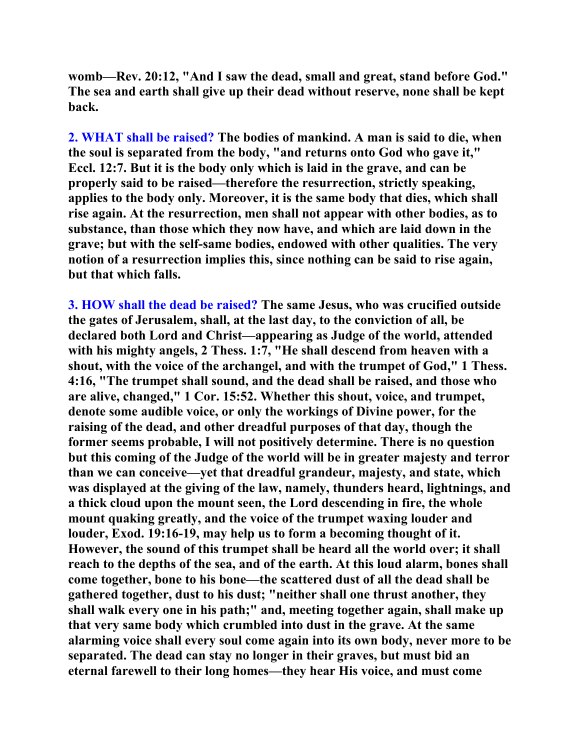**womb—Rev. 20:12, "And I saw the dead, small and great, stand before God." The sea and earth shall give up their dead without reserve, none shall be kept back.** 

**2. WHAT shall be raised? The bodies of mankind. A man is said to die, when the soul is separated from the body, "and returns onto God who gave it," Eccl. 12:7. But it is the body only which is laid in the grave, and can be properly said to be raised—therefore the resurrection, strictly speaking, applies to the body only. Moreover, it is the same body that dies, which shall rise again. At the resurrection, men shall not appear with other bodies, as to substance, than those which they now have, and which are laid down in the grave; but with the self-same bodies, endowed with other qualities. The very notion of a resurrection implies this, since nothing can be said to rise again, but that which falls.** 

**3. HOW shall the dead be raised? The same Jesus, who was crucified outside the gates of Jerusalem, shall, at the last day, to the conviction of all, be declared both Lord and Christ—appearing as Judge of the world, attended with his mighty angels, 2 Thess. 1:7, "He shall descend from heaven with a shout, with the voice of the archangel, and with the trumpet of God," 1 Thess. 4:16, "The trumpet shall sound, and the dead shall be raised, and those who are alive, changed," 1 Cor. 15:52. Whether this shout, voice, and trumpet, denote some audible voice, or only the workings of Divine power, for the raising of the dead, and other dreadful purposes of that day, though the former seems probable, I will not positively determine. There is no question but this coming of the Judge of the world will be in greater majesty and terror than we can conceive—yet that dreadful grandeur, majesty, and state, which was displayed at the giving of the law, namely, thunders heard, lightnings, and a thick cloud upon the mount seen, the Lord descending in fire, the whole mount quaking greatly, and the voice of the trumpet waxing louder and louder, Exod. 19:16-19, may help us to form a becoming thought of it. However, the sound of this trumpet shall be heard all the world over; it shall reach to the depths of the sea, and of the earth. At this loud alarm, bones shall come together, bone to his bone—the scattered dust of all the dead shall be gathered together, dust to his dust; "neither shall one thrust another, they shall walk every one in his path;" and, meeting together again, shall make up that very same body which crumbled into dust in the grave. At the same alarming voice shall every soul come again into its own body, never more to be separated. The dead can stay no longer in their graves, but must bid an eternal farewell to their long homes—they hear His voice, and must come**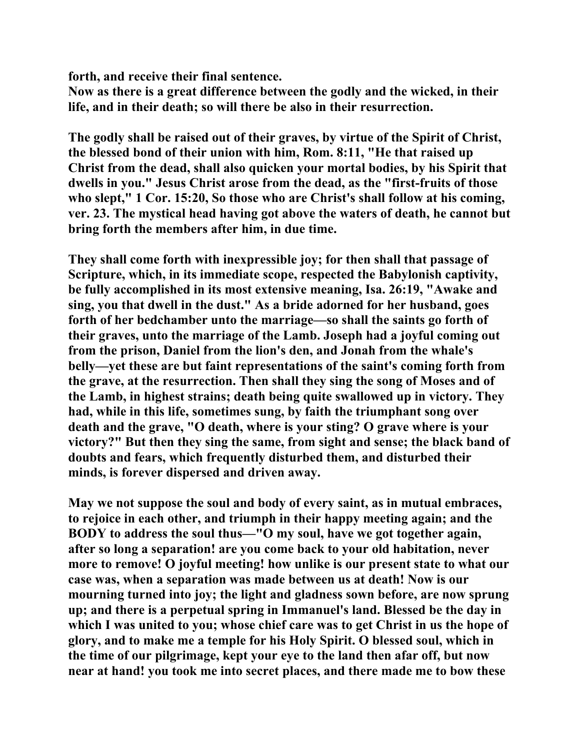**forth, and receive their final sentence.** 

**Now as there is a great difference between the godly and the wicked, in their life, and in their death; so will there be also in their resurrection.** 

**The godly shall be raised out of their graves, by virtue of the Spirit of Christ, the blessed bond of their union with him, Rom. 8:11, "He that raised up Christ from the dead, shall also quicken your mortal bodies, by his Spirit that dwells in you." Jesus Christ arose from the dead, as the "first-fruits of those who slept," 1 Cor. 15:20, So those who are Christ's shall follow at his coming, ver. 23. The mystical head having got above the waters of death, he cannot but bring forth the members after him, in due time.** 

**They shall come forth with inexpressible joy; for then shall that passage of Scripture, which, in its immediate scope, respected the Babylonish captivity, be fully accomplished in its most extensive meaning, Isa. 26:19, "Awake and sing, you that dwell in the dust." As a bride adorned for her husband, goes forth of her bedchamber unto the marriage—so shall the saints go forth of their graves, unto the marriage of the Lamb. Joseph had a joyful coming out from the prison, Daniel from the lion's den, and Jonah from the whale's belly—yet these are but faint representations of the saint's coming forth from the grave, at the resurrection. Then shall they sing the song of Moses and of the Lamb, in highest strains; death being quite swallowed up in victory. They had, while in this life, sometimes sung, by faith the triumphant song over death and the grave, "O death, where is your sting? O grave where is your victory?" But then they sing the same, from sight and sense; the black band of doubts and fears, which frequently disturbed them, and disturbed their minds, is forever dispersed and driven away.** 

**May we not suppose the soul and body of every saint, as in mutual embraces, to rejoice in each other, and triumph in their happy meeting again; and the BODY to address the soul thus—"O my soul, have we got together again, after so long a separation! are you come back to your old habitation, never more to remove! O joyful meeting! how unlike is our present state to what our case was, when a separation was made between us at death! Now is our mourning turned into joy; the light and gladness sown before, are now sprung up; and there is a perpetual spring in Immanuel's land. Blessed be the day in which I was united to you; whose chief care was to get Christ in us the hope of glory, and to make me a temple for his Holy Spirit. O blessed soul, which in the time of our pilgrimage, kept your eye to the land then afar off, but now near at hand! you took me into secret places, and there made me to bow these**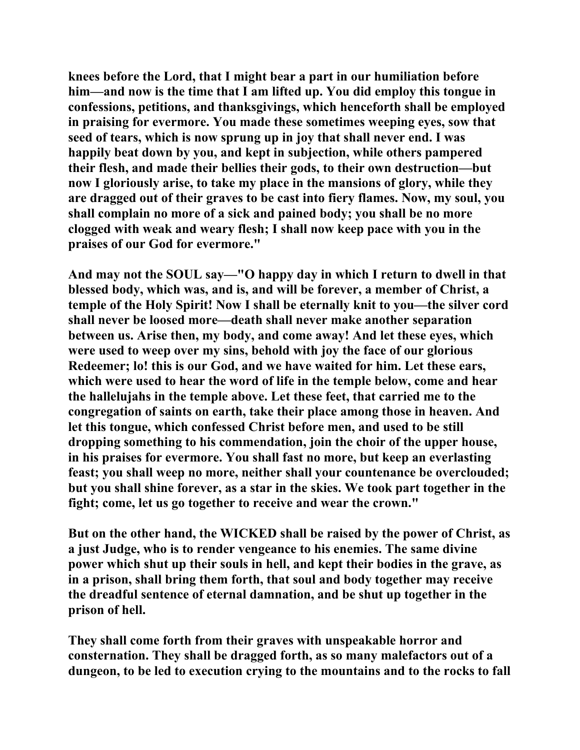**knees before the Lord, that I might bear a part in our humiliation before him—and now is the time that I am lifted up. You did employ this tongue in confessions, petitions, and thanksgivings, which henceforth shall be employed in praising for evermore. You made these sometimes weeping eyes, sow that seed of tears, which is now sprung up in joy that shall never end. I was happily beat down by you, and kept in subjection, while others pampered their flesh, and made their bellies their gods, to their own destruction—but now I gloriously arise, to take my place in the mansions of glory, while they are dragged out of their graves to be cast into fiery flames. Now, my soul, you shall complain no more of a sick and pained body; you shall be no more clogged with weak and weary flesh; I shall now keep pace with you in the praises of our God for evermore."** 

**And may not the SOUL say—"O happy day in which I return to dwell in that blessed body, which was, and is, and will be forever, a member of Christ, a temple of the Holy Spirit! Now I shall be eternally knit to you—the silver cord shall never be loosed more—death shall never make another separation between us. Arise then, my body, and come away! And let these eyes, which were used to weep over my sins, behold with joy the face of our glorious Redeemer; lo! this is our God, and we have waited for him. Let these ears, which were used to hear the word of life in the temple below, come and hear the hallelujahs in the temple above. Let these feet, that carried me to the congregation of saints on earth, take their place among those in heaven. And let this tongue, which confessed Christ before men, and used to be still dropping something to his commendation, join the choir of the upper house, in his praises for evermore. You shall fast no more, but keep an everlasting feast; you shall weep no more, neither shall your countenance be overclouded; but you shall shine forever, as a star in the skies. We took part together in the fight; come, let us go together to receive and wear the crown."** 

**But on the other hand, the WICKED shall be raised by the power of Christ, as a just Judge, who is to render vengeance to his enemies. The same divine power which shut up their souls in hell, and kept their bodies in the grave, as in a prison, shall bring them forth, that soul and body together may receive the dreadful sentence of eternal damnation, and be shut up together in the prison of hell.** 

**They shall come forth from their graves with unspeakable horror and consternation. They shall be dragged forth, as so many malefactors out of a dungeon, to be led to execution crying to the mountains and to the rocks to fall**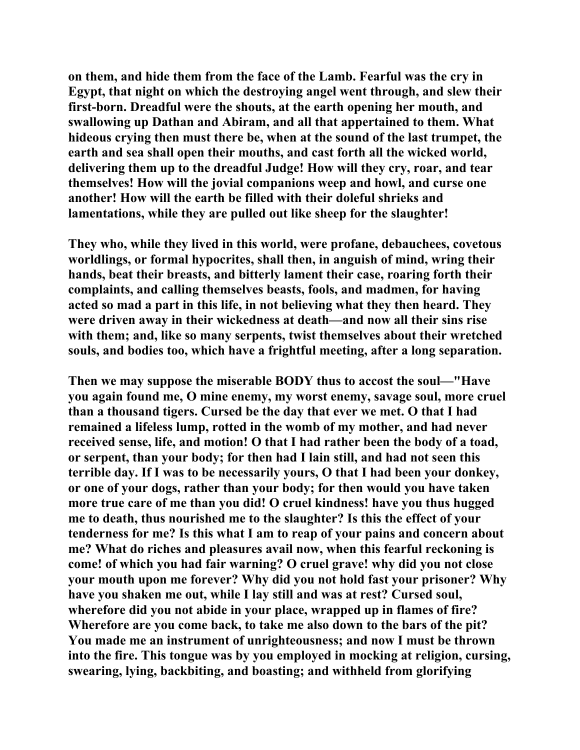**on them, and hide them from the face of the Lamb. Fearful was the cry in Egypt, that night on which the destroying angel went through, and slew their first-born. Dreadful were the shouts, at the earth opening her mouth, and swallowing up Dathan and Abiram, and all that appertained to them. What hideous crying then must there be, when at the sound of the last trumpet, the earth and sea shall open their mouths, and cast forth all the wicked world, delivering them up to the dreadful Judge! How will they cry, roar, and tear themselves! How will the jovial companions weep and howl, and curse one another! How will the earth be filled with their doleful shrieks and lamentations, while they are pulled out like sheep for the slaughter!** 

**They who, while they lived in this world, were profane, debauchees, covetous worldlings, or formal hypocrites, shall then, in anguish of mind, wring their hands, beat their breasts, and bitterly lament their case, roaring forth their complaints, and calling themselves beasts, fools, and madmen, for having acted so mad a part in this life, in not believing what they then heard. They were driven away in their wickedness at death—and now all their sins rise with them; and, like so many serpents, twist themselves about their wretched souls, and bodies too, which have a frightful meeting, after a long separation.** 

**Then we may suppose the miserable BODY thus to accost the soul—"Have you again found me, O mine enemy, my worst enemy, savage soul, more cruel than a thousand tigers. Cursed be the day that ever we met. O that I had remained a lifeless lump, rotted in the womb of my mother, and had never received sense, life, and motion! O that I had rather been the body of a toad, or serpent, than your body; for then had I lain still, and had not seen this terrible day. If I was to be necessarily yours, O that I had been your donkey, or one of your dogs, rather than your body; for then would you have taken more true care of me than you did! O cruel kindness! have you thus hugged me to death, thus nourished me to the slaughter? Is this the effect of your tenderness for me? Is this what I am to reap of your pains and concern about me? What do riches and pleasures avail now, when this fearful reckoning is come! of which you had fair warning? O cruel grave! why did you not close your mouth upon me forever? Why did you not hold fast your prisoner? Why have you shaken me out, while I lay still and was at rest? Cursed soul, wherefore did you not abide in your place, wrapped up in flames of fire? Wherefore are you come back, to take me also down to the bars of the pit? You made me an instrument of unrighteousness; and now I must be thrown into the fire. This tongue was by you employed in mocking at religion, cursing, swearing, lying, backbiting, and boasting; and withheld from glorifying**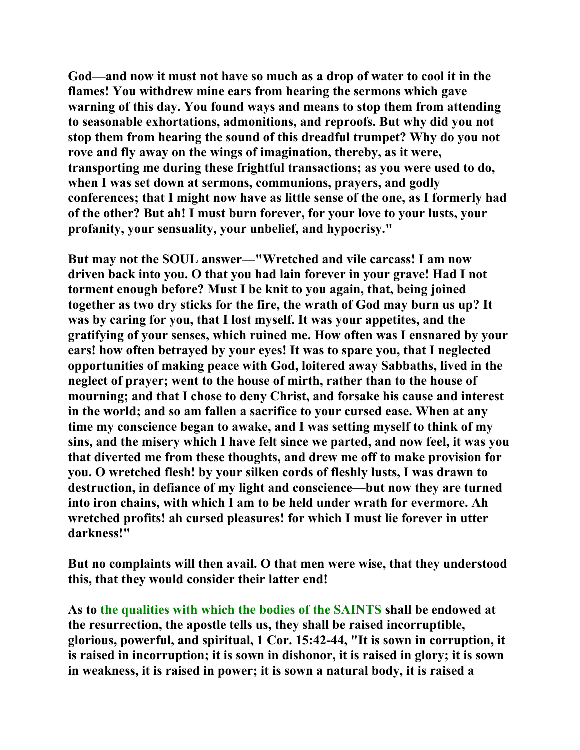**God—and now it must not have so much as a drop of water to cool it in the flames! You withdrew mine ears from hearing the sermons which gave warning of this day. You found ways and means to stop them from attending to seasonable exhortations, admonitions, and reproofs. But why did you not stop them from hearing the sound of this dreadful trumpet? Why do you not rove and fly away on the wings of imagination, thereby, as it were, transporting me during these frightful transactions; as you were used to do, when I was set down at sermons, communions, prayers, and godly conferences; that I might now have as little sense of the one, as I formerly had of the other? But ah! I must burn forever, for your love to your lusts, your profanity, your sensuality, your unbelief, and hypocrisy."** 

**But may not the SOUL answer—"Wretched and vile carcass! I am now driven back into you. O that you had lain forever in your grave! Had I not torment enough before? Must I be knit to you again, that, being joined together as two dry sticks for the fire, the wrath of God may burn us up? It was by caring for you, that I lost myself. It was your appetites, and the gratifying of your senses, which ruined me. How often was I ensnared by your ears! how often betrayed by your eyes! It was to spare you, that I neglected opportunities of making peace with God, loitered away Sabbaths, lived in the neglect of prayer; went to the house of mirth, rather than to the house of mourning; and that I chose to deny Christ, and forsake his cause and interest in the world; and so am fallen a sacrifice to your cursed ease. When at any time my conscience began to awake, and I was setting myself to think of my sins, and the misery which I have felt since we parted, and now feel, it was you that diverted me from these thoughts, and drew me off to make provision for you. O wretched flesh! by your silken cords of fleshly lusts, I was drawn to destruction, in defiance of my light and conscience—but now they are turned into iron chains, with which I am to be held under wrath for evermore. Ah wretched profits! ah cursed pleasures! for which I must lie forever in utter darkness!"** 

**But no complaints will then avail. O that men were wise, that they understood this, that they would consider their latter end!** 

**As to the qualities with which the bodies of the SAINTS shall be endowed at the resurrection, the apostle tells us, they shall be raised incorruptible, glorious, powerful, and spiritual, 1 Cor. 15:42-44, "It is sown in corruption, it is raised in incorruption; it is sown in dishonor, it is raised in glory; it is sown in weakness, it is raised in power; it is sown a natural body, it is raised a**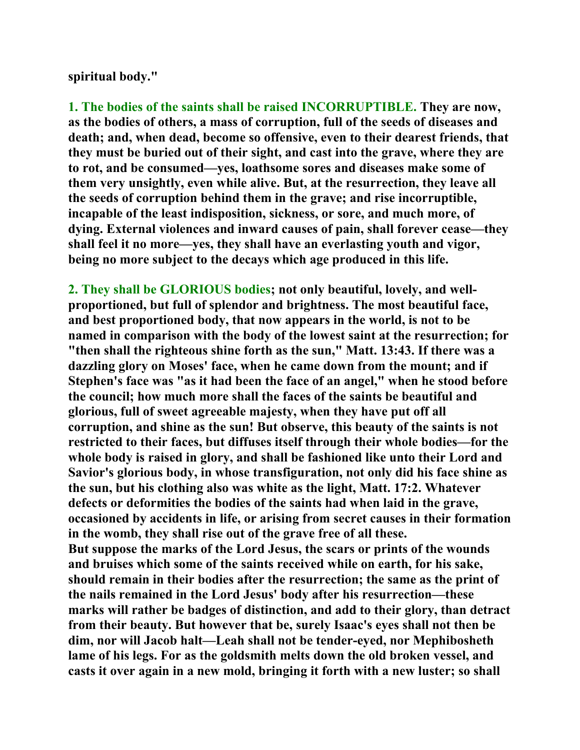**spiritual body."** 

**1. The bodies of the saints shall be raised INCORRUPTIBLE. They are now, as the bodies of others, a mass of corruption, full of the seeds of diseases and death; and, when dead, become so offensive, even to their dearest friends, that they must be buried out of their sight, and cast into the grave, where they are to rot, and be consumed—yes, loathsome sores and diseases make some of them very unsightly, even while alive. But, at the resurrection, they leave all the seeds of corruption behind them in the grave; and rise incorruptible, incapable of the least indisposition, sickness, or sore, and much more, of dying. External violences and inward causes of pain, shall forever cease—they shall feel it no more—yes, they shall have an everlasting youth and vigor, being no more subject to the decays which age produced in this life.** 

**2. They shall be GLORIOUS bodies; not only beautiful, lovely, and wellproportioned, but full of splendor and brightness. The most beautiful face, and best proportioned body, that now appears in the world, is not to be named in comparison with the body of the lowest saint at the resurrection; for "then shall the righteous shine forth as the sun," Matt. 13:43. If there was a dazzling glory on Moses' face, when he came down from the mount; and if Stephen's face was "as it had been the face of an angel," when he stood before the council; how much more shall the faces of the saints be beautiful and glorious, full of sweet agreeable majesty, when they have put off all corruption, and shine as the sun! But observe, this beauty of the saints is not restricted to their faces, but diffuses itself through their whole bodies—for the whole body is raised in glory, and shall be fashioned like unto their Lord and Savior's glorious body, in whose transfiguration, not only did his face shine as the sun, but his clothing also was white as the light, Matt. 17:2. Whatever defects or deformities the bodies of the saints had when laid in the grave, occasioned by accidents in life, or arising from secret causes in their formation in the womb, they shall rise out of the grave free of all these. But suppose the marks of the Lord Jesus, the scars or prints of the wounds and bruises which some of the saints received while on earth, for his sake, should remain in their bodies after the resurrection; the same as the print of the nails remained in the Lord Jesus' body after his resurrection—these marks will rather be badges of distinction, and add to their glory, than detract from their beauty. But however that be, surely Isaac's eyes shall not then be dim, nor will Jacob halt—Leah shall not be tender-eyed, nor Mephibosheth lame of his legs. For as the goldsmith melts down the old broken vessel, and casts it over again in a new mold, bringing it forth with a new luster; so shall**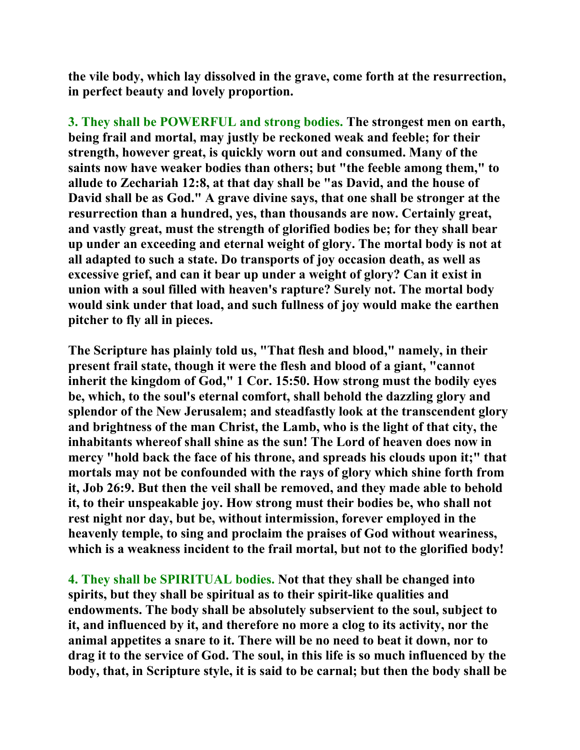**the vile body, which lay dissolved in the grave, come forth at the resurrection, in perfect beauty and lovely proportion.** 

**3. They shall be POWERFUL and strong bodies. The strongest men on earth, being frail and mortal, may justly be reckoned weak and feeble; for their strength, however great, is quickly worn out and consumed. Many of the saints now have weaker bodies than others; but "the feeble among them," to allude to Zechariah 12:8, at that day shall be "as David, and the house of David shall be as God." A grave divine says, that one shall be stronger at the resurrection than a hundred, yes, than thousands are now. Certainly great, and vastly great, must the strength of glorified bodies be; for they shall bear up under an exceeding and eternal weight of glory. The mortal body is not at all adapted to such a state. Do transports of joy occasion death, as well as excessive grief, and can it bear up under a weight of glory? Can it exist in union with a soul filled with heaven's rapture? Surely not. The mortal body would sink under that load, and such fullness of joy would make the earthen pitcher to fly all in pieces.** 

**The Scripture has plainly told us, "That flesh and blood," namely, in their present frail state, though it were the flesh and blood of a giant, "cannot inherit the kingdom of God," 1 Cor. 15:50. How strong must the bodily eyes be, which, to the soul's eternal comfort, shall behold the dazzling glory and splendor of the New Jerusalem; and steadfastly look at the transcendent glory and brightness of the man Christ, the Lamb, who is the light of that city, the inhabitants whereof shall shine as the sun! The Lord of heaven does now in mercy "hold back the face of his throne, and spreads his clouds upon it;" that mortals may not be confounded with the rays of glory which shine forth from it, Job 26:9. But then the veil shall be removed, and they made able to behold it, to their unspeakable joy. How strong must their bodies be, who shall not rest night nor day, but be, without intermission, forever employed in the heavenly temple, to sing and proclaim the praises of God without weariness, which is a weakness incident to the frail mortal, but not to the glorified body!** 

**4. They shall be SPIRITUAL bodies. Not that they shall be changed into spirits, but they shall be spiritual as to their spirit-like qualities and endowments. The body shall be absolutely subservient to the soul, subject to it, and influenced by it, and therefore no more a clog to its activity, nor the animal appetites a snare to it. There will be no need to beat it down, nor to drag it to the service of God. The soul, in this life is so much influenced by the body, that, in Scripture style, it is said to be carnal; but then the body shall be**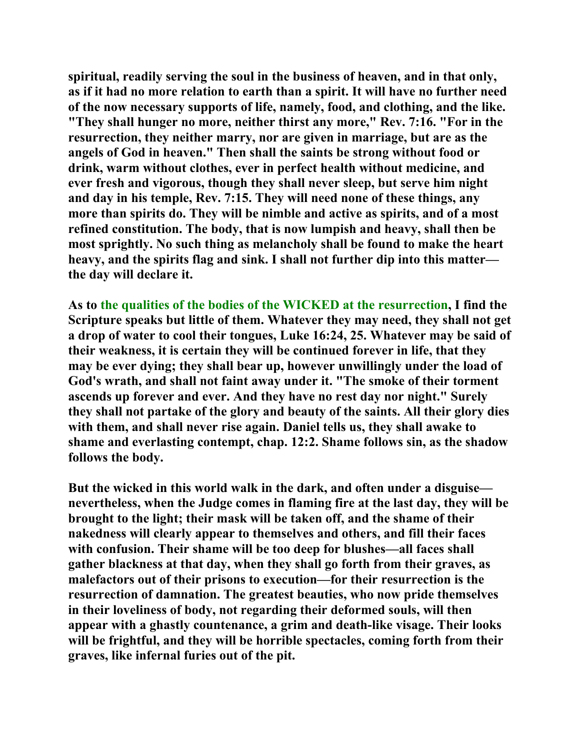**spiritual, readily serving the soul in the business of heaven, and in that only, as if it had no more relation to earth than a spirit. It will have no further need of the now necessary supports of life, namely, food, and clothing, and the like. "They shall hunger no more, neither thirst any more," Rev. 7:16. "For in the resurrection, they neither marry, nor are given in marriage, but are as the angels of God in heaven." Then shall the saints be strong without food or drink, warm without clothes, ever in perfect health without medicine, and ever fresh and vigorous, though they shall never sleep, but serve him night and day in his temple, Rev. 7:15. They will need none of these things, any more than spirits do. They will be nimble and active as spirits, and of a most refined constitution. The body, that is now lumpish and heavy, shall then be most sprightly. No such thing as melancholy shall be found to make the heart heavy, and the spirits flag and sink. I shall not further dip into this matter the day will declare it.** 

**As to the qualities of the bodies of the WICKED at the resurrection, I find the Scripture speaks but little of them. Whatever they may need, they shall not get a drop of water to cool their tongues, Luke 16:24, 25. Whatever may be said of their weakness, it is certain they will be continued forever in life, that they may be ever dying; they shall bear up, however unwillingly under the load of God's wrath, and shall not faint away under it. "The smoke of their torment ascends up forever and ever. And they have no rest day nor night." Surely they shall not partake of the glory and beauty of the saints. All their glory dies with them, and shall never rise again. Daniel tells us, they shall awake to shame and everlasting contempt, chap. 12:2. Shame follows sin, as the shadow follows the body.** 

**But the wicked in this world walk in the dark, and often under a disguise nevertheless, when the Judge comes in flaming fire at the last day, they will be brought to the light; their mask will be taken off, and the shame of their nakedness will clearly appear to themselves and others, and fill their faces with confusion. Their shame will be too deep for blushes—all faces shall gather blackness at that day, when they shall go forth from their graves, as malefactors out of their prisons to execution—for their resurrection is the resurrection of damnation. The greatest beauties, who now pride themselves in their loveliness of body, not regarding their deformed souls, will then appear with a ghastly countenance, a grim and death-like visage. Their looks will be frightful, and they will be horrible spectacles, coming forth from their graves, like infernal furies out of the pit.**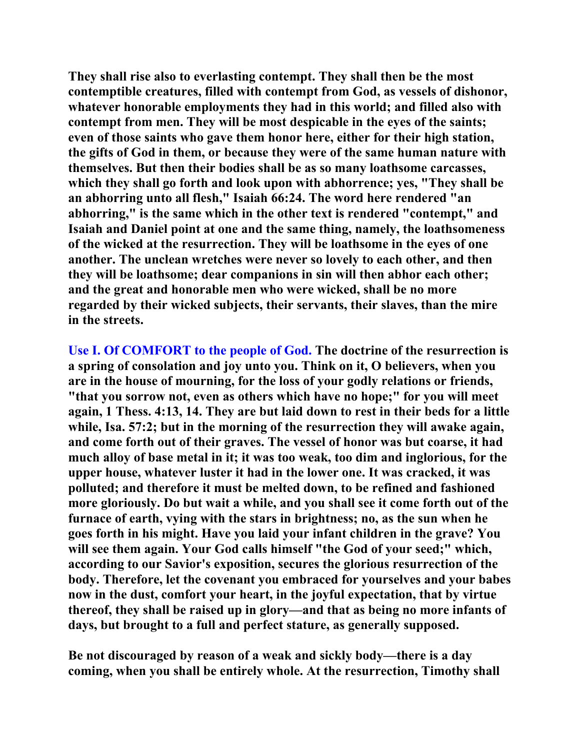**They shall rise also to everlasting contempt. They shall then be the most contemptible creatures, filled with contempt from God, as vessels of dishonor, whatever honorable employments they had in this world; and filled also with contempt from men. They will be most despicable in the eyes of the saints; even of those saints who gave them honor here, either for their high station, the gifts of God in them, or because they were of the same human nature with themselves. But then their bodies shall be as so many loathsome carcasses, which they shall go forth and look upon with abhorrence; yes, "They shall be an abhorring unto all flesh," Isaiah 66:24. The word here rendered "an abhorring," is the same which in the other text is rendered "contempt," and Isaiah and Daniel point at one and the same thing, namely, the loathsomeness of the wicked at the resurrection. They will be loathsome in the eyes of one another. The unclean wretches were never so lovely to each other, and then they will be loathsome; dear companions in sin will then abhor each other; and the great and honorable men who were wicked, shall be no more regarded by their wicked subjects, their servants, their slaves, than the mire in the streets.** 

**Use I. Of COMFORT to the people of God. The doctrine of the resurrection is a spring of consolation and joy unto you. Think on it, O believers, when you are in the house of mourning, for the loss of your godly relations or friends, "that you sorrow not, even as others which have no hope;" for you will meet again, 1 Thess. 4:13, 14. They are but laid down to rest in their beds for a little while, Isa. 57:2; but in the morning of the resurrection they will awake again, and come forth out of their graves. The vessel of honor was but coarse, it had much alloy of base metal in it; it was too weak, too dim and inglorious, for the upper house, whatever luster it had in the lower one. It was cracked, it was polluted; and therefore it must be melted down, to be refined and fashioned more gloriously. Do but wait a while, and you shall see it come forth out of the furnace of earth, vying with the stars in brightness; no, as the sun when he goes forth in his might. Have you laid your infant children in the grave? You will see them again. Your God calls himself "the God of your seed;" which, according to our Savior's exposition, secures the glorious resurrection of the body. Therefore, let the covenant you embraced for yourselves and your babes now in the dust, comfort your heart, in the joyful expectation, that by virtue thereof, they shall be raised up in glory—and that as being no more infants of days, but brought to a full and perfect stature, as generally supposed.** 

**Be not discouraged by reason of a weak and sickly body—there is a day coming, when you shall be entirely whole. At the resurrection, Timothy shall**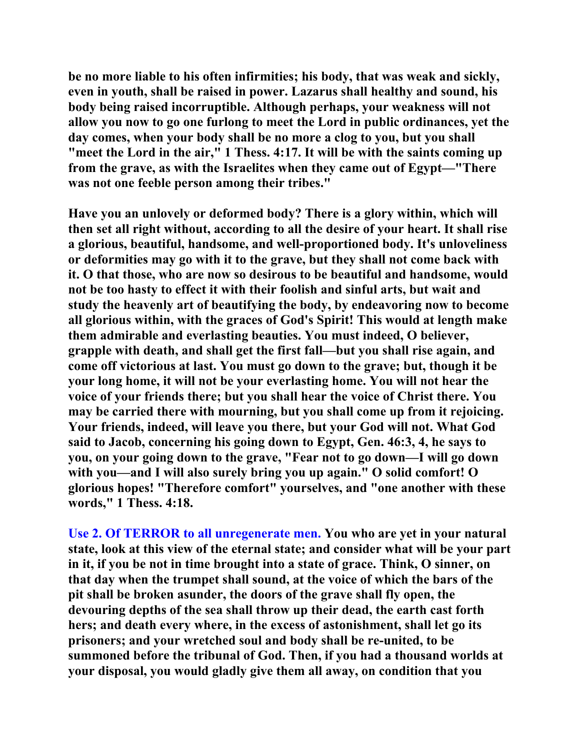**be no more liable to his often infirmities; his body, that was weak and sickly, even in youth, shall be raised in power. Lazarus shall healthy and sound, his body being raised incorruptible. Although perhaps, your weakness will not allow you now to go one furlong to meet the Lord in public ordinances, yet the day comes, when your body shall be no more a clog to you, but you shall "meet the Lord in the air," 1 Thess. 4:17. It will be with the saints coming up from the grave, as with the Israelites when they came out of Egypt—"There was not one feeble person among their tribes."** 

**Have you an unlovely or deformed body? There is a glory within, which will then set all right without, according to all the desire of your heart. It shall rise a glorious, beautiful, handsome, and well-proportioned body. It's unloveliness or deformities may go with it to the grave, but they shall not come back with it. O that those, who are now so desirous to be beautiful and handsome, would not be too hasty to effect it with their foolish and sinful arts, but wait and study the heavenly art of beautifying the body, by endeavoring now to become all glorious within, with the graces of God's Spirit! This would at length make them admirable and everlasting beauties. You must indeed, O believer, grapple with death, and shall get the first fall—but you shall rise again, and come off victorious at last. You must go down to the grave; but, though it be your long home, it will not be your everlasting home. You will not hear the voice of your friends there; but you shall hear the voice of Christ there. You may be carried there with mourning, but you shall come up from it rejoicing. Your friends, indeed, will leave you there, but your God will not. What God said to Jacob, concerning his going down to Egypt, Gen. 46:3, 4, he says to you, on your going down to the grave, "Fear not to go down—I will go down with you—and I will also surely bring you up again." O solid comfort! O glorious hopes! "Therefore comfort" yourselves, and "one another with these words," 1 Thess. 4:18.** 

**Use 2. Of TERROR to all unregenerate men. You who are yet in your natural state, look at this view of the eternal state; and consider what will be your part in it, if you be not in time brought into a state of grace. Think, O sinner, on that day when the trumpet shall sound, at the voice of which the bars of the pit shall be broken asunder, the doors of the grave shall fly open, the devouring depths of the sea shall throw up their dead, the earth cast forth hers; and death every where, in the excess of astonishment, shall let go its prisoners; and your wretched soul and body shall be re-united, to be summoned before the tribunal of God. Then, if you had a thousand worlds at your disposal, you would gladly give them all away, on condition that you**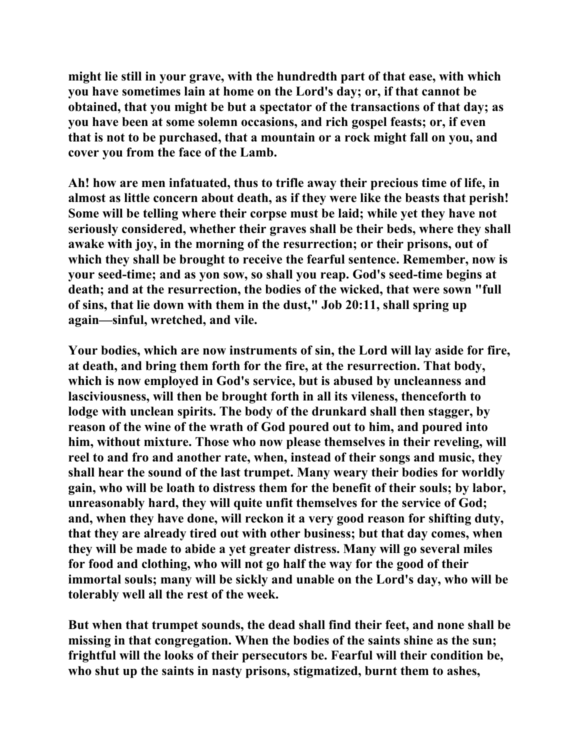**might lie still in your grave, with the hundredth part of that ease, with which you have sometimes lain at home on the Lord's day; or, if that cannot be obtained, that you might be but a spectator of the transactions of that day; as you have been at some solemn occasions, and rich gospel feasts; or, if even that is not to be purchased, that a mountain or a rock might fall on you, and cover you from the face of the Lamb.** 

**Ah! how are men infatuated, thus to trifle away their precious time of life, in almost as little concern about death, as if they were like the beasts that perish! Some will be telling where their corpse must be laid; while yet they have not seriously considered, whether their graves shall be their beds, where they shall awake with joy, in the morning of the resurrection; or their prisons, out of which they shall be brought to receive the fearful sentence. Remember, now is your seed-time; and as yon sow, so shall you reap. God's seed-time begins at death; and at the resurrection, the bodies of the wicked, that were sown "full of sins, that lie down with them in the dust," Job 20:11, shall spring up again—sinful, wretched, and vile.** 

**Your bodies, which are now instruments of sin, the Lord will lay aside for fire, at death, and bring them forth for the fire, at the resurrection. That body, which is now employed in God's service, but is abused by uncleanness and lasciviousness, will then be brought forth in all its vileness, thenceforth to lodge with unclean spirits. The body of the drunkard shall then stagger, by reason of the wine of the wrath of God poured out to him, and poured into him, without mixture. Those who now please themselves in their reveling, will reel to and fro and another rate, when, instead of their songs and music, they shall hear the sound of the last trumpet. Many weary their bodies for worldly gain, who will be loath to distress them for the benefit of their souls; by labor, unreasonably hard, they will quite unfit themselves for the service of God; and, when they have done, will reckon it a very good reason for shifting duty, that they are already tired out with other business; but that day comes, when they will be made to abide a yet greater distress. Many will go several miles for food and clothing, who will not go half the way for the good of their immortal souls; many will be sickly and unable on the Lord's day, who will be tolerably well all the rest of the week.** 

**But when that trumpet sounds, the dead shall find their feet, and none shall be missing in that congregation. When the bodies of the saints shine as the sun; frightful will the looks of their persecutors be. Fearful will their condition be, who shut up the saints in nasty prisons, stigmatized, burnt them to ashes,**